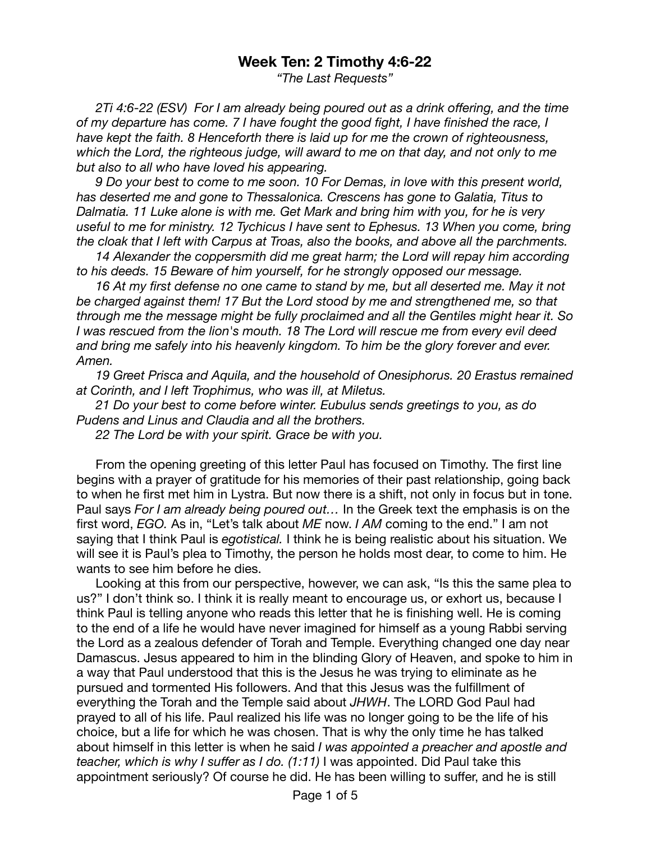## **Week Ten: 2 Timothy 4:6-22**

*"The Last Requests"* 

*2Ti 4:6-22 (ESV) For I am already being poured out as a drink offering, and the time of my departure has come. 7 I have fought the good fight, I have finished the race, I have kept the faith. 8 Henceforth there is laid up for me the crown of righteousness, which the Lord, the righteous judge, will award to me on that day, and not only to me but also to all who have loved his appearing.* 

*9 Do your best to come to me soon. 10 For Demas, in love with this present world, has deserted me and gone to Thessalonica. Crescens has gone to Galatia, Titus to Dalmatia. 11 Luke alone is with me. Get Mark and bring him with you, for he is very useful to me for ministry. 12 Tychicus I have sent to Ephesus. 13 When you come, bring the cloak that I left with Carpus at Troas, also the books, and above all the parchments.* 

14 Alexander the coppersmith did me great harm; the Lord will repay him according *to his deeds. 15 Beware of him yourself, for he strongly opposed our message.* 

16 At my first defense no one came to stand by me, but all deserted me. May it not *be charged against them! 17 But the Lord stood by me and strengthened me, so that through me the message might be fully proclaimed and all the Gentiles might hear it. So I was rescued from the lion's mouth. 18 The Lord will rescue me from every evil deed*  and bring me safely into his heavenly kingdom. To him be the glory forever and ever. *Amen.* 

*19 Greet Prisca and Aquila, and the household of Onesiphorus. 20 Erastus remained at Corinth, and I left Trophimus, who was ill, at Miletus.* 

*21 Do your best to come before winter. Eubulus sends greetings to you, as do Pudens and Linus and Claudia and all the brothers.* 

*22 The Lord be with your spirit. Grace be with you.* 

From the opening greeting of this letter Paul has focused on Timothy. The first line begins with a prayer of gratitude for his memories of their past relationship, going back to when he first met him in Lystra. But now there is a shift, not only in focus but in tone. Paul says *For I am already being poured out…* In the Greek text the emphasis is on the first word, *EGO.* As in, "Let's talk about *ME* now. *I AM* coming to the end." I am not saying that I think Paul is *egotistical.* I think he is being realistic about his situation. We will see it is Paul's plea to Timothy, the person he holds most dear, to come to him. He wants to see him before he dies.

Looking at this from our perspective, however, we can ask, "Is this the same plea to us?" I don't think so. I think it is really meant to encourage us, or exhort us, because I think Paul is telling anyone who reads this letter that he is finishing well. He is coming to the end of a life he would have never imagined for himself as a young Rabbi serving the Lord as a zealous defender of Torah and Temple. Everything changed one day near Damascus. Jesus appeared to him in the blinding Glory of Heaven, and spoke to him in a way that Paul understood that this is the Jesus he was trying to eliminate as he pursued and tormented His followers. And that this Jesus was the fulfillment of everything the Torah and the Temple said about *JHWH*. The LORD God Paul had prayed to all of his life. Paul realized his life was no longer going to be the life of his choice, but a life for which he was chosen. That is why the only time he has talked about himself in this letter is when he said *I was appointed a preacher and apostle and teacher, which is why I suffer as I do. (1:11)* I was appointed. Did Paul take this appointment seriously? Of course he did. He has been willing to suffer, and he is still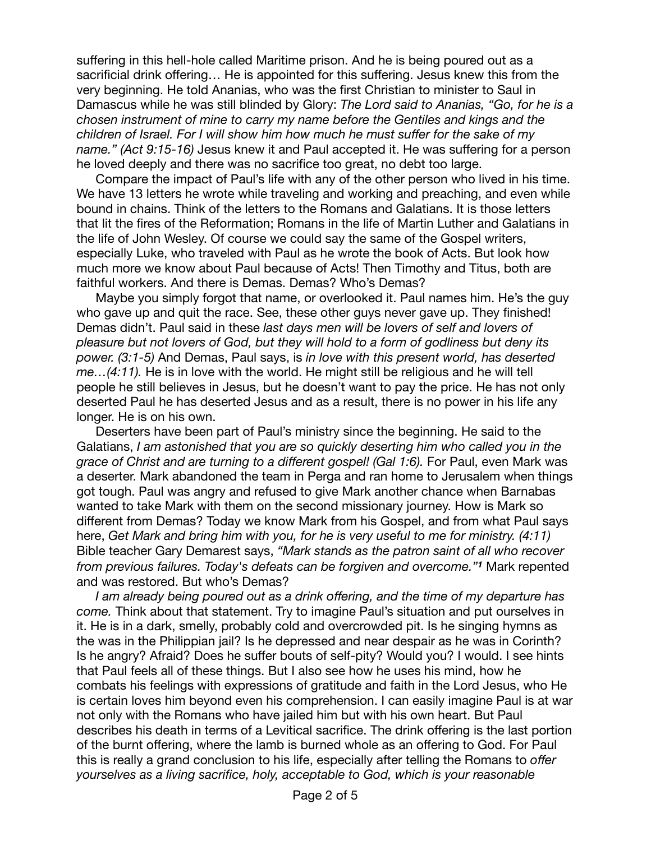suffering in this hell-hole called Maritime prison. And he is being poured out as a sacrificial drink offering… He is appointed for this suffering. Jesus knew this from the very beginning. He told Ananias, who was the first Christian to minister to Saul in Damascus while he was still blinded by Glory: *The Lord said to Ananias, "Go, for he is a chosen instrument of mine to carry my name before the Gentiles and kings and the children of Israel. For I will show him how much he must suffer for the sake of my name." (Act 9:15-16)* Jesus knew it and Paul accepted it. He was suffering for a person he loved deeply and there was no sacrifice too great, no debt too large.

Compare the impact of Paul's life with any of the other person who lived in his time. We have 13 letters he wrote while traveling and working and preaching, and even while bound in chains. Think of the letters to the Romans and Galatians. It is those letters that lit the fires of the Reformation; Romans in the life of Martin Luther and Galatians in the life of John Wesley. Of course we could say the same of the Gospel writers, especially Luke, who traveled with Paul as he wrote the book of Acts. But look how much more we know about Paul because of Acts! Then Timothy and Titus, both are faithful workers. And there is Demas. Demas? Who's Demas?

Maybe you simply forgot that name, or overlooked it. Paul names him. He's the guy who gave up and quit the race. See, these other guys never gave up. They finished! Demas didn't. Paul said in these *last days men will be lovers of self and lovers of pleasure but not lovers of God, but they will hold to a form of godliness but deny its power. (3:1-5)* And Demas, Paul says, is *in love with this present world, has deserted me…(4:11).* He is in love with the world. He might still be religious and he will tell people he still believes in Jesus, but he doesn't want to pay the price. He has not only deserted Paul he has deserted Jesus and as a result, there is no power in his life any longer. He is on his own.

Deserters have been part of Paul's ministry since the beginning. He said to the Galatians, *I am astonished that you are so quickly deserting him who called you in the grace of Christ and are turning to a different gospel! (Gal 1:6).* For Paul, even Mark was a deserter. Mark abandoned the team in Perga and ran home to Jerusalem when things got tough. Paul was angry and refused to give Mark another chance when Barnabas wanted to take Mark with them on the second missionary journey. How is Mark so different from Demas? Today we know Mark from his Gospel, and from what Paul says here, *Get Mark and bring him with you, for he is very useful to me for ministry. (4:11)*  Bible teacher Gary Demarest says, *"Mark stands as the patron saint of all who recover from previous failures. Today's defeats can be forgiven and overcome."<sup>1</sup>* Mark repented and was restored. But who's Demas?

*I am already being poured out as a drink offering, and the time of my departure has come.* Think about that statement. Try to imagine Paul's situation and put ourselves in it. He is in a dark, smelly, probably cold and overcrowded pit. Is he singing hymns as the was in the Philippian jail? Is he depressed and near despair as he was in Corinth? Is he angry? Afraid? Does he suffer bouts of self-pity? Would you? I would. I see hints that Paul feels all of these things. But I also see how he uses his mind, how he combats his feelings with expressions of gratitude and faith in the Lord Jesus, who He is certain loves him beyond even his comprehension. I can easily imagine Paul is at war not only with the Romans who have jailed him but with his own heart. But Paul describes his death in terms of a Levitical sacrifice. The drink offering is the last portion of the burnt offering, where the lamb is burned whole as an offering to God. For Paul this is really a grand conclusion to his life, especially after telling the Romans to *offer yourselves as a living sacrifice, holy, acceptable to God, which is your reasonable*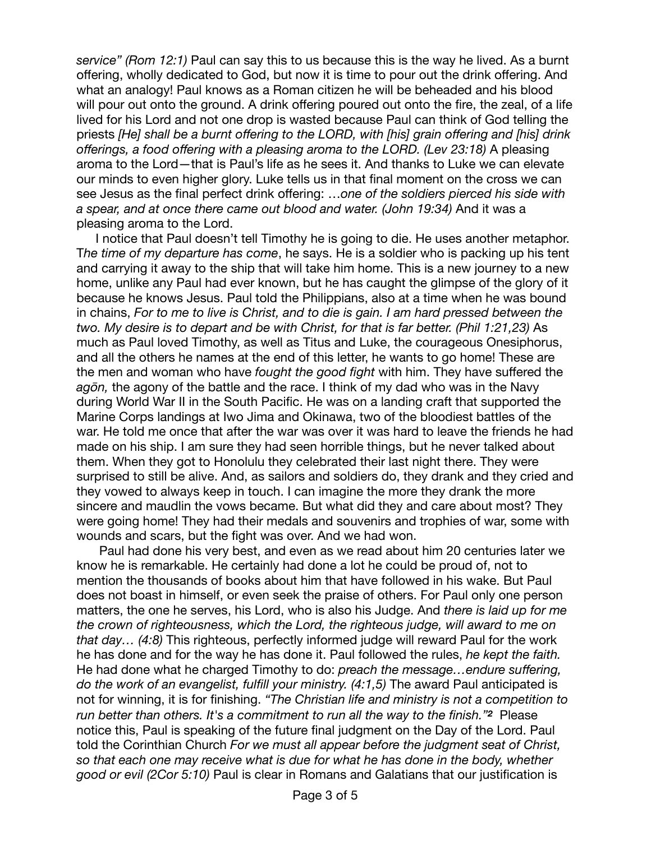*service" (Rom 12:1)* Paul can say this to us because this is the way he lived. As a burnt offering, wholly dedicated to God, but now it is time to pour out the drink offering. And what an analogy! Paul knows as a Roman citizen he will be beheaded and his blood will pour out onto the ground. A drink offering poured out onto the fire, the zeal, of a life lived for his Lord and not one drop is wasted because Paul can think of God telling the priests *[He] shall be a burnt offering to the LORD, with [his] grain offering and [his] drink offerings, a food offering with a pleasing aroma to the LORD. (Lev 23:18)* A pleasing aroma to the Lord—that is Paul's life as he sees it. And thanks to Luke we can elevate our minds to even higher glory. Luke tells us in that final moment on the cross we can see Jesus as the final perfect drink offering: …*one of the soldiers pierced his side with a spear, and at once there came out blood and water. (John 19:34)* And it was a pleasing aroma to the Lord.

I notice that Paul doesn't tell Timothy he is going to die. He uses another metaphor. T*he time of my departure has come*, he says. He is a soldier who is packing up his tent and carrying it away to the ship that will take him home. This is a new journey to a new home, unlike any Paul had ever known, but he has caught the glimpse of the glory of it because he knows Jesus. Paul told the Philippians, also at a time when he was bound in chains, *For to me to live is Christ, and to die is gain. I am hard pressed between the two. My desire is to depart and be with Christ, for that is far better. (Phil 1:21,23)* As much as Paul loved Timothy, as well as Titus and Luke, the courageous Onesiphorus, and all the others he names at the end of this letter, he wants to go home! These are the men and woman who have *fought the good fight* with him. They have suffered the *agōn,* the agony of the battle and the race. I think of my dad who was in the Navy during World War II in the South Pacific. He was on a landing craft that supported the Marine Corps landings at Iwo Jima and Okinawa, two of the bloodiest battles of the war. He told me once that after the war was over it was hard to leave the friends he had made on his ship. I am sure they had seen horrible things, but he never talked about them. When they got to Honolulu they celebrated their last night there. They were surprised to still be alive. And, as sailors and soldiers do, they drank and they cried and they vowed to always keep in touch. I can imagine the more they drank the more sincere and maudlin the vows became. But what did they and care about most? They were going home! They had their medals and souvenirs and trophies of war, some with wounds and scars, but the fight was over. And we had won.

 Paul had done his very best, and even as we read about him 20 centuries later we know he is remarkable. He certainly had done a lot he could be proud of, not to mention the thousands of books about him that have followed in his wake. But Paul does not boast in himself, or even seek the praise of others. For Paul only one person matters, the one he serves, his Lord, who is also his Judge. And *there is laid up for me the crown of righteousness, which the Lord, the righteous judge, will award to me on that day… (4:8)* This righteous, perfectly informed judge will reward Paul for the work he has done and for the way he has done it. Paul followed the rules, *he kept the faith.*  He had done what he charged Timothy to do: *preach the message…endure suffering, do the work of an evangelist, fulfill your ministry. (4:1,5)* The award Paul anticipated is not for winning, it is for finishing. *"The Christian life and ministry is not a competition to run better than others. It's a commitment to run all the way to the finish."<sup>2</sup>* Please notice this, Paul is speaking of the future final judgment on the Day of the Lord. Paul told the Corinthian Church *For we must all appear before the judgment seat of Christ, so that each one may receive what is due for what he has done in the body, whether good or evil (2Cor 5:10)* Paul is clear in Romans and Galatians that our justification is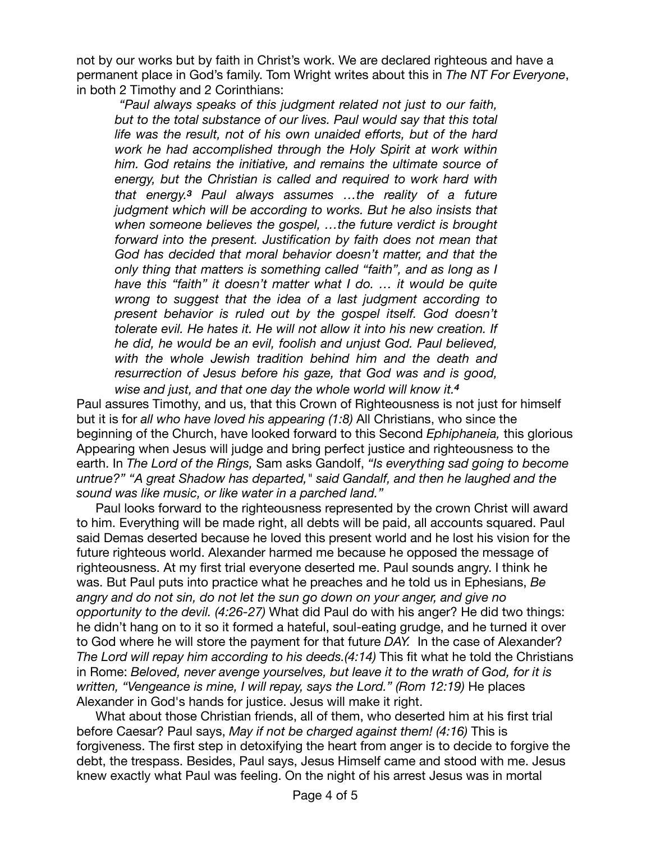not by our works but by faith in Christ's work. We are declared righteous and have a permanent place in God's family. Tom Wright writes about this in *The NT For Everyone*, in both 2 Timothy and 2 Corinthians:

 *"Paul always speaks of this judgment related not just to our faith, but to the total substance of our lives. Paul would say that this total life was the result, not of his own unaided efforts, but of the hard work he had accomplished through the Holy Spirit at work within him. God retains the initiative, and remains the ultimate source of energy, but the Christian is called and required to work hard with that energy.<sup>3</sup> Paul always assumes …the reality of a future judgment which will be according to works. But he also insists that when someone believes the gospel, …the future verdict is brought forward into the present. Justification by faith does not mean that God has decided that moral behavior doesn't matter, and that the only thing that matters is something called "faith", and as long as I have this "faith" it doesn't matter what I do. … it would be quite wrong to suggest that the idea of a last judgment according to present behavior is ruled out by the gospel itself. God doesn't tolerate evil. He hates it. He will not allow it into his new creation. If he did, he would be an evil, foolish and unjust God. Paul believed, with the whole Jewish tradition behind him and the death and resurrection of Jesus before his gaze, that God was and is good, wise and just, and that one day the whole world will know it.<sup>4</sup>*

Paul assures Timothy, and us, that this Crown of Righteousness is not just for himself but it is for *all who have loved his appearing (1:8)* All Christians, who since the beginning of the Church, have looked forward to this Second *Ephiphaneia,* this glorious Appearing when Jesus will judge and bring perfect justice and righteousness to the earth. In *The Lord of the Rings,* Sam asks Gandolf, *"Is everything sad going to become untrue?" "A great Shadow has departed," said Gandalf, and then he laughed and the sound was like music, or like water in a parched land."* 

Paul looks forward to the righteousness represented by the crown Christ will award to him. Everything will be made right, all debts will be paid, all accounts squared. Paul said Demas deserted because he loved this present world and he lost his vision for the future righteous world. Alexander harmed me because he opposed the message of righteousness. At my first trial everyone deserted me. Paul sounds angry. I think he was. But Paul puts into practice what he preaches and he told us in Ephesians, *Be angry and do not sin, do not let the sun go down on your anger, and give no opportunity to the devil. (4:26-27)* What did Paul do with his anger? He did two things: he didn't hang on to it so it formed a hateful, soul-eating grudge, and he turned it over to God where he will store the payment for that future *DAY.* In the case of Alexander? *The Lord will repay him according to his deeds.(4:14)* This fit what he told the Christians in Rome: *Beloved, never avenge yourselves, but leave it to the wrath of God, for it is written, "Vengeance is mine, I will repay, says the Lord." (Rom 12:19)* He places Alexander in God's hands for justice. Jesus will make it right.

What about those Christian friends, all of them, who deserted him at his first trial before Caesar? Paul says, *May if not be charged against them! (4:16)* This is forgiveness. The first step in detoxifying the heart from anger is to decide to forgive the debt, the trespass. Besides, Paul says, Jesus Himself came and stood with me. Jesus knew exactly what Paul was feeling. On the night of his arrest Jesus was in mortal